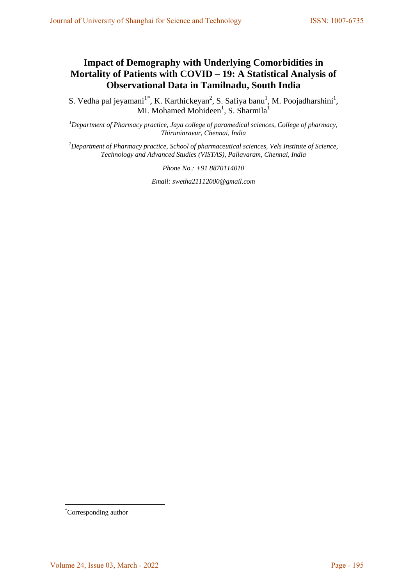# **Impact of Demography with Underlying Comorbidities in Mortality of Patients with COVID – 19: A Statistical Analysis of Observational Data in Tamilnadu, South India**

S. Vedha pal jeyamani<sup>1[\\*](#page-0-0)</sup>, K. Karthickeyan<sup>2</sup>, S. Safiya banu<sup>1</sup>, M. Poojadharshini<sup>1</sup>, MI. Mohamed Mohideen<sup>1</sup>, S. Sharmila<sup>1</sup>

*1 Department of Pharmacy practice, Jaya college of paramedical sciences, College of pharmacy, Thiruninravur, Chennai, India*

*2 Department of Pharmacy practice, School of pharmaceutical sciences, Vels Institute of Science, Technology and Advanced Studies (VISTAS), Pallavaram, Chennai, India*

*Phone No.: +91 8870114010* 

*Email: swetha21112000@gmail.com*

<span id="page-0-0"></span><sup>\*</sup> Corresponding author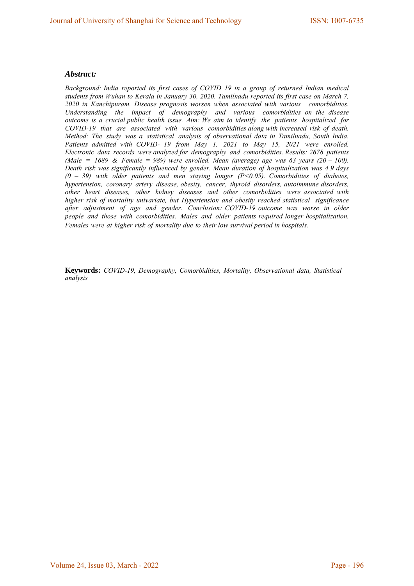#### *Abstract:*

*Background: India reported its first cases of COVID 19 in a group of returned Indian medical students from Wuhan to Kerala in January 30, 2020. Tamilnadu reported its first case on March 7, 2020 in Kanchipuram. Disease prognosis worsen when associated with various comorbidities. Understanding the impact of demography and various comorbidities on the disease outcome is a crucial public health issue. Aim: We aim to identify the patients hospitalized for COVID-19 that are associated with various comorbidities along with increased risk of death. Method: The study was a statistical analysis of observational data in Tamilnadu, South India.*  Patients admitted with COVID- 19 from May 1, 2021 to May 15, 2021 were enrolled. *Electronic data records were analyzed for demography and comorbidities. Results: 2678 patients (Male = 1689 & Female = 989) were enrolled. Mean (average) age was 63 years (20 – 100). Death risk was significantly influenced by gender. Mean duration of hospitalization was 4.9 days (0 – 39) with older patients and men staying longer (P<0.05). Comorbidities of diabetes, hypertension, coronary artery disease, obesity, cancer, thyroid disorders, autoimmune disorders, other heart diseases, other kidney diseases and other comorbidities were associated with higher risk of mortality univariate, but Hypertension and obesity reached statistical significance after adjustment of age and gender. Conclusion: COVID-19 outcome was worse in older people and those with comorbidities. Males and older patients required longer hospitalization. Females were at higher risk of mortality due to their low survival period in hospitals.*

**Keywords:** *COVID-19, Demography, Comorbidities, Mortality, Observational data, Statistical analysis*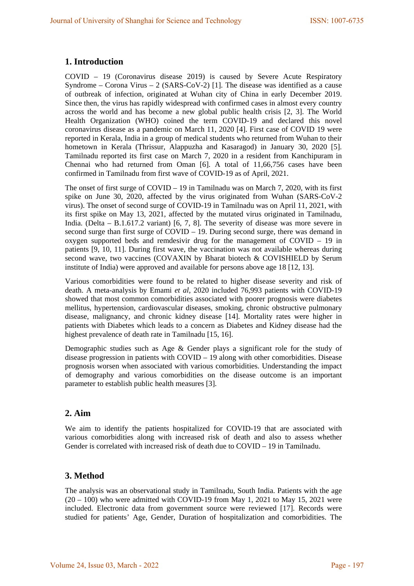# **1. Introduction**

COVID – 19 (Coronavirus disease 2019) is caused by Severe Acute Respiratory Syndrome – Corona Virus – 2 (SARS-CoV-2) [1]. The disease was identified as a cause of outbreak of infection, originated at Wuhan city of China in early December 2019. Since then, the virus has rapidly widespread with confirmed cases in almost every country across the world and has become a new global public health crisis [2, 3]. The World Health Organization (WHO) coined the term COVID-19 and declared this novel coronavirus disease as a pandemic on March 11, 2020 [4]. First case of COVID 19 were reported in Kerala, India in a group of medical students who returned from Wuhan to their hometown in Kerala (Thrissur, Alappuzha and Kasaragod) in January 30, 2020 [5]. Tamilnadu reported its first case on March 7, 2020 in a resident from Kanchipuram in Chennai who had returned from Oman [6]. A total of 11,66,756 cases have been confirmed in Tamilnadu from first wave of COVID-19 as of April, 2021.

The onset of first surge of  $COVID - 19$  in Tamilnadu was on March 7, 2020, with its first spike on June 30, 2020, affected by the virus originated from Wuhan (SARS-CoV-2 virus). The onset of second surge of COVID-19 in Tamilnadu was on April 11, 2021, with its first spike on May 13, 2021, affected by the mutated virus originated in Tamilnadu, India. (Delta – B.1.617.2 variant) [6, 7, 8]. The severity of disease was more severe in second surge than first surge of COVID – 19. During second surge, there was demand in oxygen supported beds and remdesivir drug for the management of COVID – 19 in patients [9, 10, 11]. During first wave, the vaccination was not available whereas during second wave, two vaccines (COVAXIN by Bharat biotech & COVISHIELD by Serum institute of India) were approved and available for persons above age 18 [12, 13].

Various comorbidities were found to be related to higher disease severity and risk of death. A meta-analysis by Emami *et al*, 2020 included 76,993 patients with COVID-19 showed that most common comorbidities associated with poorer prognosis were diabetes mellitus, hypertension, cardiovascular diseases, smoking, chronic obstructive pulmonary disease, malignancy, and chronic kidney disease [14]. Mortality rates were higher in patients with Diabetes which leads to a concern as Diabetes and Kidney disease had the highest prevalence of death rate in Tamilnadu [15, 16].

Demographic studies such as Age & Gender plays a significant role for the study of disease progression in patients with COVID – 19 along with other comorbidities. Disease prognosis worsen when associated with various comorbidities. Understanding the impact of demography and various comorbidities on the disease outcome is an important parameter to establish public health measures [3].

# **2. Aim**

We aim to identify the patients hospitalized for COVID-19 that are associated with various comorbidities along with increased risk of death and also to assess whether Gender is correlated with increased risk of death due to COVID – 19 in Tamilnadu.

# **3. Method**

The analysis was an observational study in Tamilnadu, South India. Patients with the age  $(20 - 100)$  who were admitted with COVID-19 from May 1, 2021 to May 15, 2021 were included. Electronic data from government source were reviewed [17]. Records were studied for patients' Age, Gender, Duration of hospitalization and comorbidities. The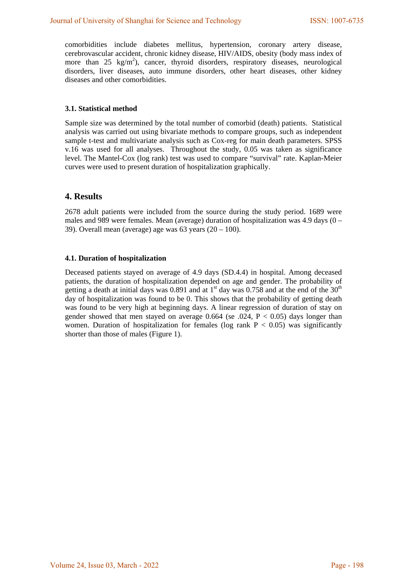comorbidities include diabetes mellitus, hypertension, coronary artery disease, cerebrovascular accident, chronic kidney disease, HIV/AIDS, obesity (body mass index of more than  $25 \text{ kg/m}^2$ ), cancer, thyroid disorders, respiratory diseases, neurological disorders, liver diseases, auto immune disorders, other heart diseases, other kidney diseases and other comorbidities.

#### **3.1. Statistical method**

Sample size was determined by the total number of comorbid (death) patients. Statistical analysis was carried out using bivariate methods to compare groups, such as independent sample t-test and multivariate analysis such as Cox-reg for main death parameters. SPSS v.16 was used for all analyses. Throughout the study, 0.05 was taken as significance level. The Mantel-Cox (log rank) test was used to compare "survival" rate. Kaplan-Meier curves were used to present duration of hospitalization graphically.

## **4. Results**

2678 adult patients were included from the source during the study period. 1689 were males and 989 were females. Mean (average) duration of hospitalization was 4.9 days (0 – 39). Overall mean (average) age was  $63$  years  $(20 - 100)$ .

#### **4.1. Duration of hospitalization**

Deceased patients stayed on average of 4.9 days (SD.4.4) in hospital. Among deceased patients, the duration of hospitalization depended on age and gender. The probability of getting a death at initial days was 0.891 and at  $1<sup>st</sup>$  day was 0.758 and at the end of the 30<sup>th</sup> day of hospitalization was found to be 0. This shows that the probability of getting death was found to be very high at beginning days. A linear regression of duration of stay on gender showed that men stayed on average  $0.664$  (se  $.024$ ,  $P < 0.05$ ) days longer than women. Duration of hospitalization for females (log rank  $P < 0.05$ ) was significantly shorter than those of males (Figure 1).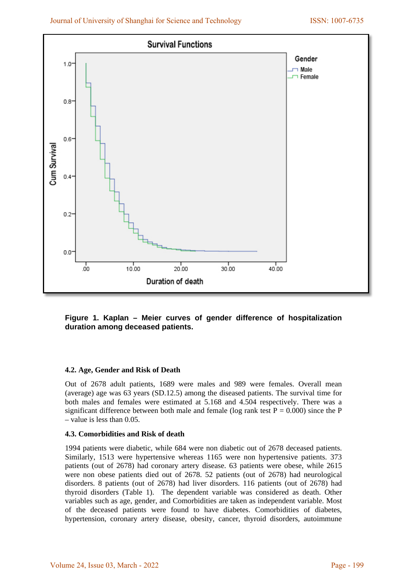

**Figure 1. Kaplan – Meier curves of gender difference of hospitalization duration among deceased patients.**

## **4.2. Age, Gender and Risk of Death**

Out of 2678 adult patients, 1689 were males and 989 were females. Overall mean (average) age was 63 years (SD.12.5) among the diseased patients. The survival time for both males and females were estimated at 5.168 and 4.504 respectively. There was a significant difference between both male and female (log rank test  $P = 0.000$ ) since the P – value is less than 0.05.

#### **4.3. Comorbidities and Risk of death**

1994 patients were diabetic, while 684 were non diabetic out of 2678 deceased patients. Similarly, 1513 were hypertensive whereas 1165 were non hypertensive patients. 373 patients (out of 2678) had coronary artery disease. 63 patients were obese, while 2615 were non obese patients died out of 2678. 52 patients (out of 2678) had neurological disorders. 8 patients (out of 2678) had liver disorders. 116 patients (out of 2678) had thyroid disorders (Table 1). The dependent variable was considered as death. Other variables such as age, gender, and Comorbidities are taken as independent variable. Most of the deceased patients were found to have diabetes. Comorbidities of diabetes, hypertension, coronary artery disease, obesity, cancer, thyroid disorders, autoimmune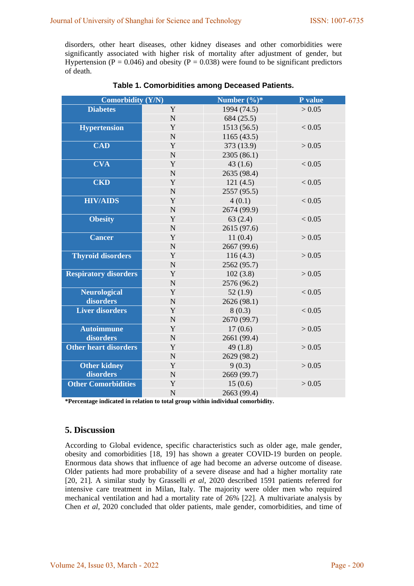disorders, other heart diseases, other kidney diseases and other comorbidities were significantly associated with higher risk of mortality after adjustment of gender, but Hypertension ( $P = 0.046$ ) and obesity ( $P = 0.038$ ) were found to be significant predictors of death.

| <b>Comorbidity (Y/N)</b>     |                | Number $(\frac{6}{6})^*$ | P value |
|------------------------------|----------------|--------------------------|---------|
| <b>Diabetes</b>              | Y              | 1994 (74.5)              | > 0.05  |
|                              | $\overline{N}$ | 684(25.5)                |         |
| <b>Hypertension</b>          | Y              | 1513 (56.5)              | < 0.05  |
|                              | $\mathbf N$    | 1165(43.5)               |         |
| <b>CAD</b>                   | Y              | 373 (13.9)               | > 0.05  |
|                              | $\overline{N}$ | 2305 (86.1)              |         |
| <b>CVA</b>                   | Y              | 43(1.6)                  | < 0.05  |
|                              | $\mathbf N$    | 2635 (98.4)              |         |
| <b>CKD</b>                   | Y              | 121(4.5)                 | < 0.05  |
|                              | $\overline{N}$ | 2557 (95.5)              |         |
| <b>HIV/AIDS</b>              | Y              | 4(0.1)                   | < 0.05  |
|                              | $\mathbf N$    | 2674 (99.9)              |         |
| <b>Obesity</b>               | Y              | 63(2.4)                  | < 0.05  |
|                              | $\mathbf N$    | 2615 (97.6)              |         |
| <b>Cancer</b>                | Y              | 11(0.4)                  | > 0.05  |
|                              | $\mathbf N$    | 2667 (99.6)              |         |
| <b>Thyroid disorders</b>     | $\mathbf Y$    | 116(4.3)                 | > 0.05  |
|                              | N              | 2562 (95.7)              |         |
| <b>Respiratory disorders</b> | Y              | 102(3.8)                 | > 0.05  |
|                              | N              | 2576 (96.2)              |         |
| <b>Neurological</b>          | Y              | 52(1.9)                  | < 0.05  |
| disorders                    | N              | 2626 (98.1)              |         |
| <b>Liver disorders</b>       | Y              | 8(0.3)                   | < 0.05  |
|                              | $\mathbf N$    | 2670 (99.7)              |         |
| <b>Autoimmune</b>            | Y              | 17(0.6)                  | > 0.05  |
| disorders                    | $\mathbf N$    | 2661 (99.4)              |         |
| <b>Other heart disorders</b> | Y              | 49(1.8)                  | > 0.05  |
|                              | $\mathbf N$    | 2629 (98.2)              |         |
| <b>Other kidney</b>          | Y              | 9(0.3)                   | > 0.05  |
| disorders                    | $\mathbf N$    | 2669 (99.7)              |         |
| <b>Other Comorbidities</b>   | Y              | 15(0.6)                  | > 0.05  |
|                              | $\mathbf N$    | 2663 (99.4)              |         |

| Table 1. Comorbidities among Deceased Patients. |  |
|-------------------------------------------------|--|
|-------------------------------------------------|--|

**\*Percentage indicated in relation to total group within individual comorbidity.**

# **5. Discussion**

According to Global evidence, specific characteristics such as older age, male gender, obesity and comorbidities [18, 19] has shown a greater COVID-19 burden on people. Enormous data shows that influence of age had become an adverse outcome of disease. Older patients had more probability of a severe disease and had a higher mortality rate [20, 21]. A similar study by Grasselli *et al*, 2020 described 1591 patients referred for intensive care treatment in Milan, Italy. The majority were older men who required mechanical ventilation and had a mortality rate of 26% [22]. A multivariate analysis by Chen *et al*, 2020 concluded that older patients, male gender, comorbidities, and time of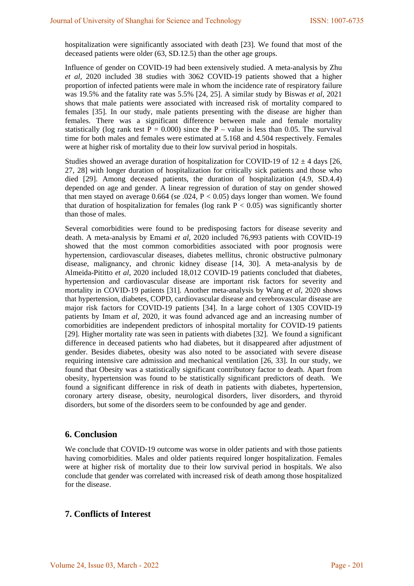hospitalization were significantly associated with death [23]. We found that most of the deceased patients were older (63, SD.12.5) than the other age groups.

Influence of gender on COVID-19 had been extensively studied. A meta-analysis by Zhu *et al*, 2020 included 38 studies with 3062 COVID-19 patients showed that a higher proportion of infected patients were male in whom the incidence rate of respiratory failure was 19.5% and the fatality rate was 5.5% [24, 25]. A similar study by Biswas *et al*, 2021 shows that male patients were associated with increased risk of mortality compared to females [35]. In our study, male patients presenting with the disease are higher than females. There was a significant difference between male and female mortality statistically (log rank test  $P = 0.000$ ) since the P – value is less than 0.05. The survival time for both males and females were estimated at 5.168 and 4.504 respectively. Females were at higher risk of mortality due to their low survival period in hospitals.

Studies showed an average duration of hospitalization for COVID-19 of  $12 \pm 4$  days [26, 27, 28] with longer duration of hospitalization for critically sick patients and those who died [29]. Among deceased patients, the duration of hospitalization (4.9, SD.4.4) depended on age and gender. A linear regression of duration of stay on gender showed that men stayed on average 0.664 (se  $.024$ , P < 0.05) days longer than women. We found that duration of hospitalization for females (log rank  $P < 0.05$ ) was significantly shorter than those of males.

Several comorbidities were found to be predisposing factors for disease severity and death. A meta-analysis by Emami *et al*, 2020 included 76,993 patients with COVID-19 showed that the most common comorbidities associated with poor prognosis were hypertension, cardiovascular diseases, diabetes mellitus, chronic obstructive pulmonary disease, malignancy, and chronic kidney disease [14, 30]. A meta-analysis by de Almeida-Pititto *et al*, 2020 included 18,012 COVID-19 patients concluded that diabetes, hypertension and cardiovascular disease are important risk factors for severity and mortality in COVID-19 patients [31]. Another meta-analysis by Wang *et al*, 2020 shows that hypertension, diabetes, COPD, cardiovascular disease and cerebrovascular disease are major risk factors for COVID-19 patients [34]. In a large cohort of 1305 COVID-19 patients by Imam *et al*, 2020, it was found advanced age and an increasing number of comorbidities are independent predictors of inhospital mortality for COVID-19 patients [29]. Higher mortality rate was seen in patients with diabetes [32]. We found a significant difference in deceased patients who had diabetes, but it disappeared after adjustment of gender. Besides diabetes, obesity was also noted to be associated with severe disease requiring intensive care admission and mechanical ventilation [26, 33]. In our study, we found that Obesity was a statistically significant contributory factor to death. Apart from obesity, hypertension was found to be statistically significant predictors of death. We found a significant difference in risk of death in patients with diabetes, hypertension, coronary artery disease, obesity, neurological disorders, liver disorders, and thyroid disorders, but some of the disorders seem to be confounded by age and gender.

## **6. Conclusion**

We conclude that COVID-19 outcome was worse in older patients and with those patients having comorbidities. Males and older patients required longer hospitalization. Females were at higher risk of mortality due to their low survival period in hospitals. We also conclude that gender was correlated with increased risk of death among those hospitalized for the disease.

## **7. Conflicts of Interest**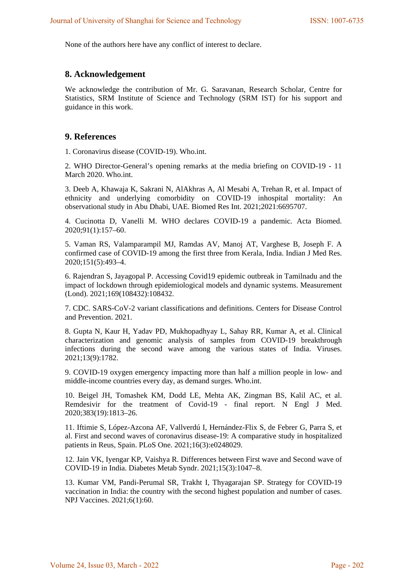None of the authors here have any conflict of interest to declare.

#### **8. Acknowledgement**

We acknowledge the contribution of Mr. G. Saravanan, Research Scholar, Centre for Statistics, SRM Institute of Science and Technology (SRM IST) for his support and guidance in this work.

#### **9. References**

1. Coronavirus disease (COVID-19). Who.int.

2. WHO Director-General's opening remarks at the media briefing on COVID-19 - 11 March 2020. Who.int.

3. Deeb A, Khawaja K, Sakrani N, AlAkhras A, Al Mesabi A, Trehan R, et al. Impact of ethnicity and underlying comorbidity on COVID-19 inhospital mortality: An observational study in Abu Dhabi, UAE. Biomed Res Int. 2021;2021:6695707.

4. Cucinotta D, Vanelli M. WHO declares COVID-19 a pandemic. Acta Biomed. 2020;91(1):157–60.

5. Vaman RS, Valamparampil MJ, Ramdas AV, Manoj AT, Varghese B, Joseph F. A confirmed case of COVID-19 among the first three from Kerala, India. Indian J Med Res. 2020;151(5):493–4.

6. Rajendran S, Jayagopal P. Accessing Covid19 epidemic outbreak in Tamilnadu and the impact of lockdown through epidemiological models and dynamic systems. Measurement (Lond). 2021;169(108432):108432.

7. CDC. SARS-CoV-2 variant classifications and definitions. Centers for Disease Control and Prevention. 2021.

8. Gupta N, Kaur H, Yadav PD, Mukhopadhyay L, Sahay RR, Kumar A, et al. Clinical characterization and genomic analysis of samples from COVID-19 breakthrough infections during the second wave among the various states of India. Viruses. 2021;13(9):1782.

9. COVID-19 oxygen emergency impacting more than half a million people in low- and middle-income countries every day, as demand surges. Who.int.

10. Beigel JH, Tomashek KM, Dodd LE, Mehta AK, Zingman BS, Kalil AC, et al. Remdesivir for the treatment of Covid-19 - final report. N Engl J Med. 2020;383(19):1813–26.

11. Iftimie S, López-Azcona AF, Vallverdú I, Hernández-Flix S, de Febrer G, Parra S, et al. First and second waves of coronavirus disease-19: A comparative study in hospitalized patients in Reus, Spain. PLoS One. 2021;16(3):e0248029.

12. Jain VK, Iyengar KP, Vaishya R. Differences between First wave and Second wave of COVID-19 in India. Diabetes Metab Syndr. 2021;15(3):1047–8.

13. Kumar VM, Pandi-Perumal SR, Trakht I, Thyagarajan SP. Strategy for COVID-19 vaccination in India: the country with the second highest population and number of cases. NPJ Vaccines. 2021;6(1):60.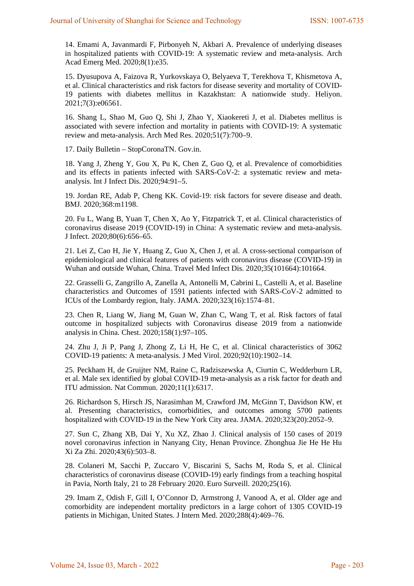14. Emami A, Javanmardi F, Pirbonyeh N, Akbari A. Prevalence of underlying diseases in hospitalized patients with COVID-19: A systematic review and meta-analysis. Arch Acad Emerg Med. 2020;8(1):e35.

15. Dyusupova A, Faizova R, Yurkovskaya O, Belyaeva T, Terekhova T, Khismetova A, et al. Clinical characteristics and risk factors for disease severity and mortality of COVID-19 patients with diabetes mellitus in Kazakhstan: A nationwide study. Heliyon. 2021;7(3):e06561.

16. Shang L, Shao M, Guo Q, Shi J, Zhao Y, Xiaokereti J, et al. Diabetes mellitus is associated with severe infection and mortality in patients with COVID-19: A systematic review and meta-analysis. Arch Med Res. 2020;51(7):700–9.

17. Daily Bulletin – StopCoronaTN. Gov.in.

18. Yang J, Zheng Y, Gou X, Pu K, Chen Z, Guo Q, et al. Prevalence of comorbidities and its effects in patients infected with SARS-CoV-2: a systematic review and metaanalysis. Int J Infect Dis. 2020;94:91–5.

19. Jordan RE, Adab P, Cheng KK. Covid-19: risk factors for severe disease and death. BMJ. 2020;368:m1198.

20. Fu L, Wang B, Yuan T, Chen X, Ao Y, Fitzpatrick T, et al. Clinical characteristics of coronavirus disease 2019 (COVID-19) in China: A systematic review and meta-analysis. J Infect. 2020;80(6):656–65.

21. Lei Z, Cao H, Jie Y, Huang Z, Guo X, Chen J, et al. A cross-sectional comparison of epidemiological and clinical features of patients with coronavirus disease (COVID-19) in Wuhan and outside Wuhan, China. Travel Med Infect Dis. 2020;35(101664):101664.

22. Grasselli G, Zangrillo A, Zanella A, Antonelli M, Cabrini L, Castelli A, et al. Baseline characteristics and Outcomes of 1591 patients infected with SARS-CoV-2 admitted to ICUs of the Lombardy region, Italy. JAMA. 2020;323(16):1574–81.

23. Chen R, Liang W, Jiang M, Guan W, Zhan C, Wang T, et al. Risk factors of fatal outcome in hospitalized subjects with Coronavirus disease 2019 from a nationwide analysis in China. Chest. 2020;158(1):97–105.

24. Zhu J, Ji P, Pang J, Zhong Z, Li H, He C, et al. Clinical characteristics of 3062 COVID-19 patients: A meta-analysis. J Med Virol. 2020;92(10):1902–14.

25. Peckham H, de Gruijter NM, Raine C, Radziszewska A, Ciurtin C, Wedderburn LR, et al. Male sex identified by global COVID-19 meta-analysis as a risk factor for death and ITU admission. Nat Commun. 2020;11(1):6317.

26. Richardson S, Hirsch JS, Narasimhan M, Crawford JM, McGinn T, Davidson KW, et al. Presenting characteristics, comorbidities, and outcomes among 5700 patients hospitalized with COVID-19 in the New York City area. JAMA. 2020;323(20):2052–9.

27. Sun C, Zhang XB, Dai Y, Xu XZ, Zhao J. Clinical analysis of 150 cases of 2019 novel coronavirus infection in Nanyang City, Henan Province. Zhonghua Jie He He Hu Xi Za Zhi. 2020;43(6):503–8.

28. Colaneri M, Sacchi P, Zuccaro V, Biscarini S, Sachs M, Roda S, et al. Clinical characteristics of coronavirus disease (COVID-19) early findings from a teaching hospital in Pavia, North Italy, 21 to 28 February 2020. Euro Surveill. 2020;25(16).

29. Imam Z, Odish F, Gill I, O'Connor D, Armstrong J, Vanood A, et al. Older age and comorbidity are independent mortality predictors in a large cohort of 1305 COVID-19 patients in Michigan, United States. J Intern Med. 2020;288(4):469–76.